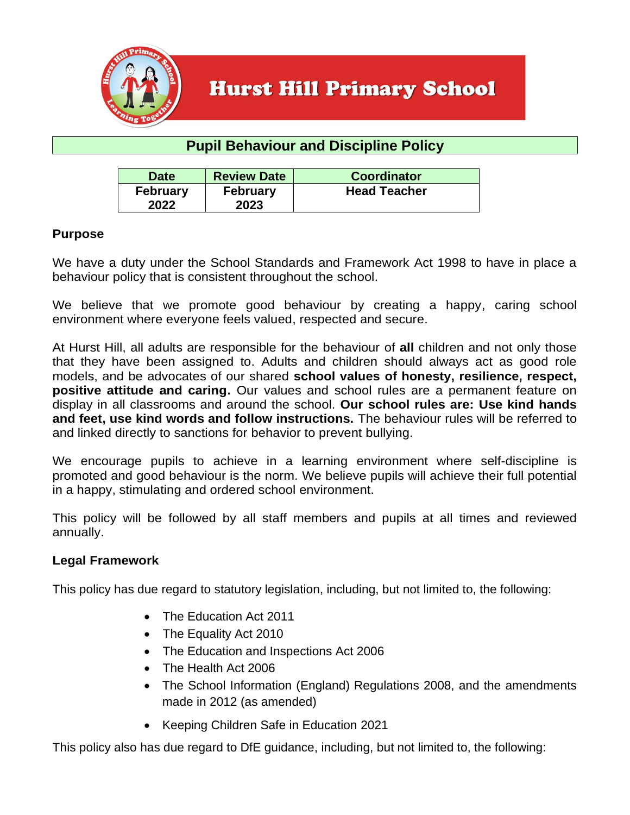

### **Pupil Behaviour and Discipline Policy**

| <b>Date</b>             | <b>Review Date</b>      | <b>Coordinator</b>  |
|-------------------------|-------------------------|---------------------|
| <b>February</b><br>2022 | <b>February</b><br>2023 | <b>Head Teacher</b> |

#### **Purpose**

We have a duty under the School Standards and Framework Act 1998 to have in place a behaviour policy that is consistent throughout the school.

We believe that we promote good behaviour by creating a happy, caring school environment where everyone feels valued, respected and secure.

At Hurst Hill, all adults are responsible for the behaviour of **all** children and not only those that they have been assigned to. Adults and children should always act as good role models, and be advocates of our shared **school values of honesty, resilience, respect, positive attitude and caring.** Our values and school rules are a permanent feature on display in all classrooms and around the school. **Our school rules are: Use kind hands and feet, use kind words and follow instructions.** The behaviour rules will be referred to and linked directly to sanctions for behavior to prevent bullying.

We encourage pupils to achieve in a learning environment where self-discipline is promoted and good behaviour is the norm. We believe pupils will achieve their full potential in a happy, stimulating and ordered school environment.

This policy will be followed by all staff members and pupils at all times and reviewed annually.

#### **Legal Framework**

This policy has due regard to statutory legislation, including, but not limited to, the following:

- The Education Act 2011
- The Equality Act 2010
- The Education and Inspections Act 2006
- The Health Act 2006
- The School Information (England) Regulations 2008, and the amendments made in 2012 (as amended)
- Keeping Children Safe in Education 2021

This policy also has due regard to DfE guidance, including, but not limited to, the following: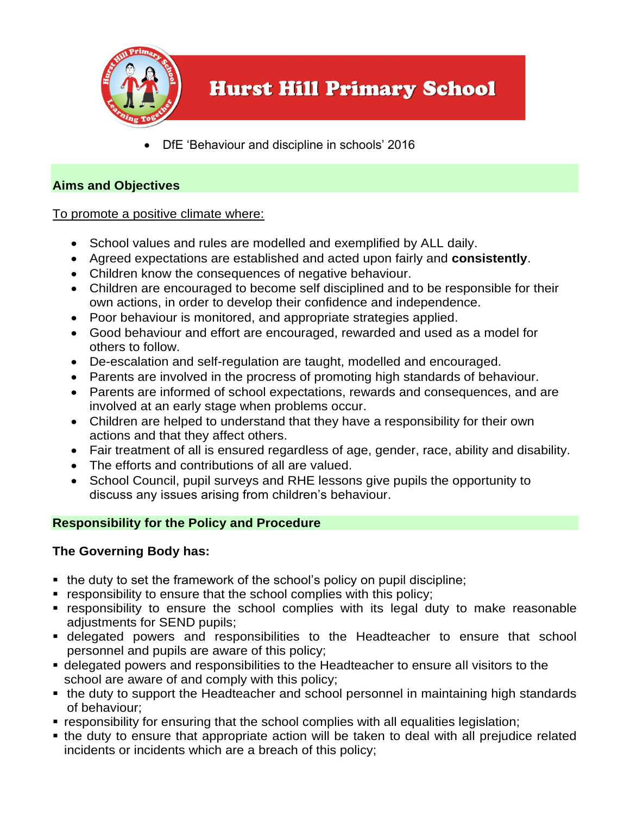

• DfE 'Behaviour and discipline in schools' 2016

#### **Aims and Objectives**

To promote a positive climate where:

- School values and rules are modelled and exemplified by ALL daily.
- Agreed expectations are established and acted upon fairly and **consistently**.
- Children know the consequences of negative behaviour.
- Children are encouraged to become self disciplined and to be responsible for their own actions, in order to develop their confidence and independence.
- Poor behaviour is monitored, and appropriate strategies applied.
- Good behaviour and effort are encouraged, rewarded and used as a model for others to follow.
- De-escalation and self-regulation are taught, modelled and encouraged.
- Parents are involved in the procress of promoting high standards of behaviour.
- Parents are informed of school expectations, rewards and consequences, and are involved at an early stage when problems occur.
- Children are helped to understand that they have a responsibility for their own actions and that they affect others.
- Fair treatment of all is ensured regardless of age, gender, race, ability and disability.
- The efforts and contributions of all are valued.
- School Council, pupil surveys and RHE lessons give pupils the opportunity to discuss any issues arising from children's behaviour.

### **Responsibility for the Policy and Procedure**

### **The Governing Body has:**

- the duty to set the framework of the school's policy on pupil discipline;
- **EXE** responsibility to ensure that the school complies with this policy;
- responsibility to ensure the school complies with its legal duty to make reasonable adjustments for SEND pupils;
- **E** delegated powers and responsibilities to the Headteacher to ensure that school personnel and pupils are aware of this policy;
- delegated powers and responsibilities to the Headteacher to ensure all visitors to the school are aware of and comply with this policy;
- the duty to support the Headteacher and school personnel in maintaining high standards of behaviour;
- responsibility for ensuring that the school complies with all equalities legislation;
- the duty to ensure that appropriate action will be taken to deal with all prejudice related incidents or incidents which are a breach of this policy;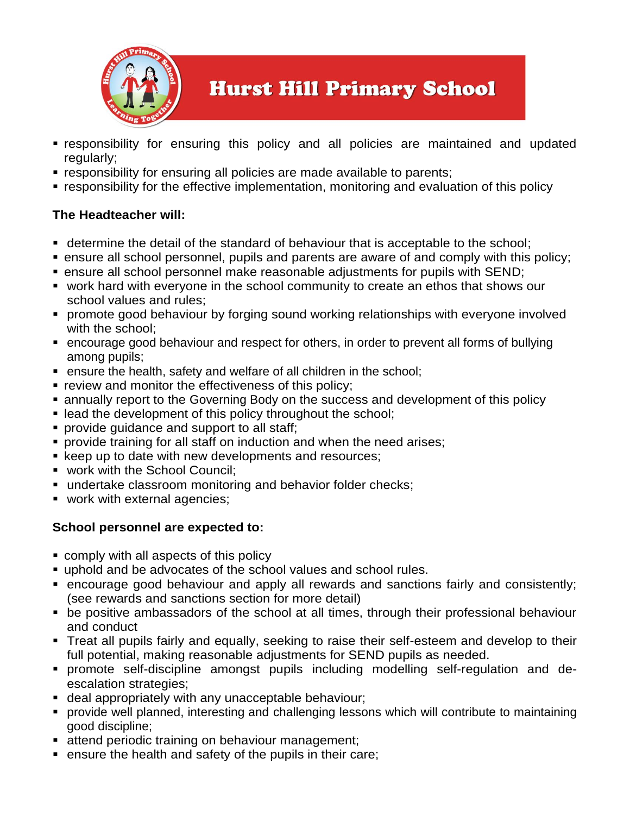

- **Example 1** responsibility for ensuring this policy and all policies are maintained and updated regularly;
- **EXE** responsibility for ensuring all policies are made available to parents;
- responsibility for the effective implementation, monitoring and evaluation of this policy

#### **The Headteacher will:**

- determine the detail of the standard of behaviour that is acceptable to the school;
- ensure all school personnel, pupils and parents are aware of and comply with this policy;
- ensure all school personnel make reasonable adjustments for pupils with SEND;
- work hard with everyone in the school community to create an ethos that shows our school values and rules;
- promote good behaviour by forging sound working relationships with everyone involved with the school:
- encourage good behaviour and respect for others, in order to prevent all forms of bullying among pupils;
- ensure the health, safety and welfare of all children in the school;
- review and monitor the effectiveness of this policy;
- annually report to the Governing Body on the success and development of this policy
- lead the development of this policy throughout the school;
- **provide quidance and support to all staff;**
- **provide training for all staff on induction and when the need arises;**
- keep up to date with new developments and resources;
- work with the School Council:
- undertake classroom monitoring and behavior folder checks;
- **work with external agencies;**

#### **School personnel are expected to:**

- comply with all aspects of this policy
- uphold and be advocates of the school values and school rules.
- encourage good behaviour and apply all rewards and sanctions fairly and consistently; (see rewards and sanctions section for more detail)
- be positive ambassadors of the school at all times, through their professional behaviour and conduct
- **Treat all pupils fairly and equally, seeking to raise their self-esteem and develop to their** full potential, making reasonable adjustments for SEND pupils as needed.
- promote self-discipline amongst pupils including modelling self-regulation and deescalation strategies;
- **deal appropriately with any unacceptable behaviour;**
- provide well planned, interesting and challenging lessons which will contribute to maintaining good discipline;
- **E** attend periodic training on behaviour management;
- ensure the health and safety of the pupils in their care;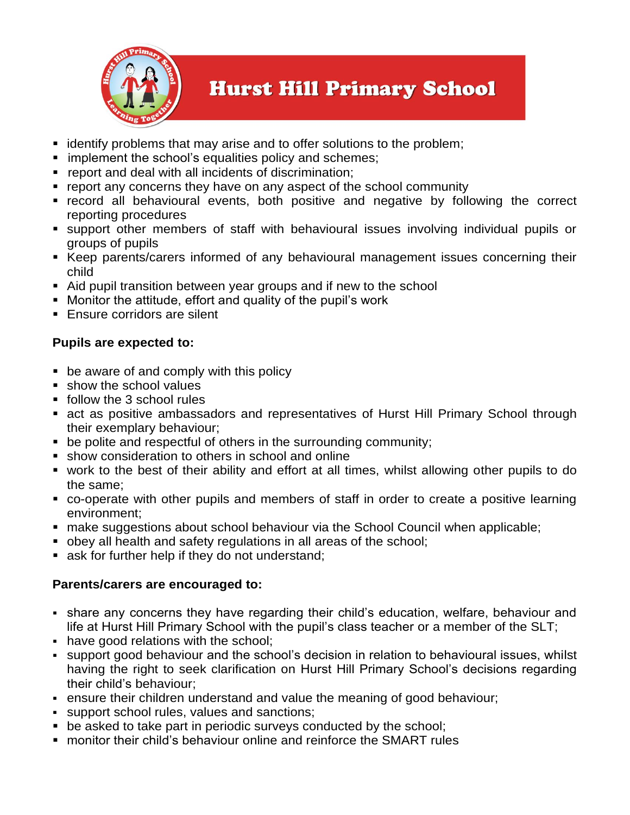

- identify problems that may arise and to offer solutions to the problem;
- **E** implement the school's equalities policy and schemes;
- report and deal with all incidents of discrimination;
- report any concerns they have on any aspect of the school community
- **Execord all behavioural events, both positive and negative by following the correct** reporting procedures
- support other members of staff with behavioural issues involving individual pupils or groups of pupils
- Keep parents/carers informed of any behavioural management issues concerning their child
- Aid pupil transition between year groups and if new to the school
- Monitor the attitude, effort and quality of the pupil's work
- **Ensure corridors are silent**

#### **Pupils are expected to:**

- be aware of and comply with this policy
- **E** show the school values
- follow the 3 school rules
- act as positive ambassadors and representatives of Hurst Hill Primary School through their exemplary behaviour;
- be polite and respectful of others in the surrounding community;
- show consideration to others in school and online
- work to the best of their ability and effort at all times, whilst allowing other pupils to do the same;
- co-operate with other pupils and members of staff in order to create a positive learning environment;
- make suggestions about school behaviour via the School Council when applicable;
- obey all health and safety regulations in all areas of the school;
- ask for further help if they do not understand;

#### **Parents/carers are encouraged to:**

- **Example 2** share any concerns they have regarding their child's education, welfare, behaviour and life at Hurst Hill Primary School with the pupil's class teacher or a member of the SLT;
- have good relations with the school;
- support good behaviour and the school's decision in relation to behavioural issues, whilst having the right to seek clarification on Hurst Hill Primary School's decisions regarding their child's behaviour;
- **ensure their children understand and value the meaning of good behaviour;**
- support school rules, values and sanctions;
- be asked to take part in periodic surveys conducted by the school;
- monitor their child's behaviour online and reinforce the SMART rules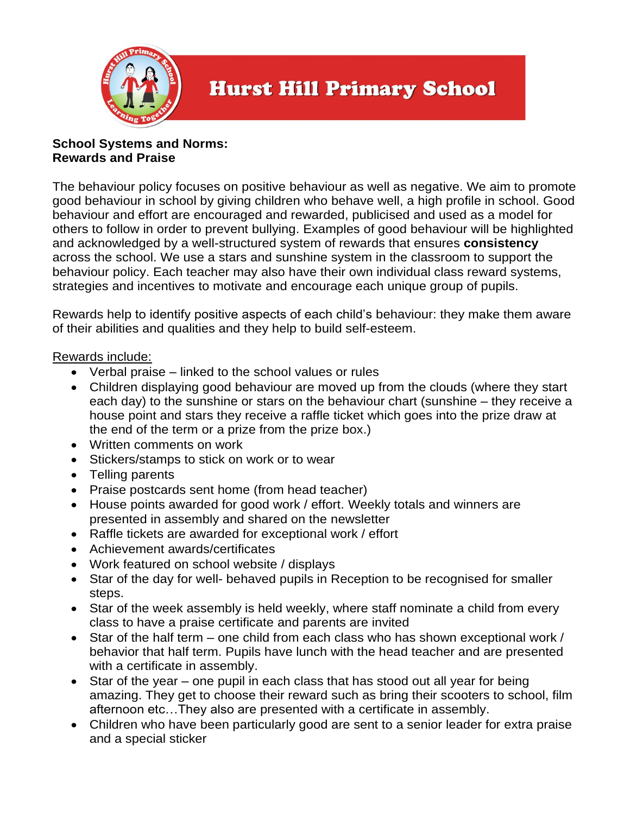

#### **School Systems and Norms: Rewards and Praise**

The behaviour policy focuses on positive behaviour as well as negative. We aim to promote good behaviour in school by giving children who behave well, a high profile in school. Good behaviour and effort are encouraged and rewarded, publicised and used as a model for others to follow in order to prevent bullying. Examples of good behaviour will be highlighted and acknowledged by a well-structured system of rewards that ensures **consistency** across the school. We use a stars and sunshine system in the classroom to support the behaviour policy. Each teacher may also have their own individual class reward systems, strategies and incentives to motivate and encourage each unique group of pupils.

Rewards help to identify positive aspects of each child's behaviour: they make them aware of their abilities and qualities and they help to build self-esteem.

#### Rewards include:

- Verbal praise linked to the school values or rules
- Children displaying good behaviour are moved up from the clouds (where they start each day) to the sunshine or stars on the behaviour chart (sunshine – they receive a house point and stars they receive a raffle ticket which goes into the prize draw at the end of the term or a prize from the prize box.)
- Written comments on work
- Stickers/stamps to stick on work or to wear
- Telling parents
- Praise postcards sent home (from head teacher)
- House points awarded for good work / effort. Weekly totals and winners are presented in assembly and shared on the newsletter
- Raffle tickets are awarded for exceptional work / effort
- Achievement awards/certificates
- Work featured on school website / displays
- Star of the day for well- behaved pupils in Reception to be recognised for smaller steps.
- Star of the week assembly is held weekly, where staff nominate a child from every class to have a praise certificate and parents are invited
- Star of the half term one child from each class who has shown exceptional work / behavior that half term. Pupils have lunch with the head teacher and are presented with a certificate in assembly.
- Star of the year one pupil in each class that has stood out all year for being amazing. They get to choose their reward such as bring their scooters to school, film afternoon etc…They also are presented with a certificate in assembly.
- Children who have been particularly good are sent to a senior leader for extra praise and a special sticker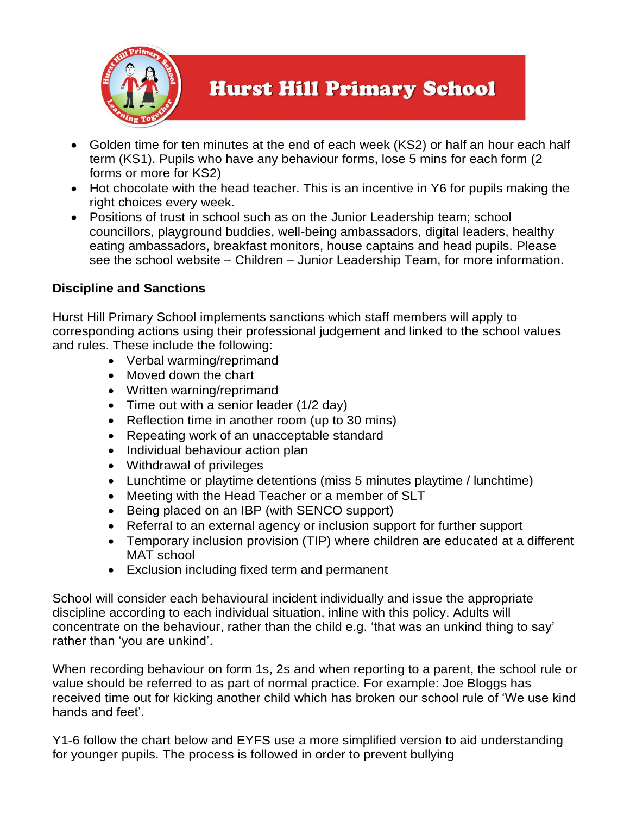

- Golden time for ten minutes at the end of each week (KS2) or half an hour each half term (KS1). Pupils who have any behaviour forms, lose 5 mins for each form (2 forms or more for KS2)
- Hot chocolate with the head teacher. This is an incentive in Y6 for pupils making the right choices every week.
- Positions of trust in school such as on the Junior Leadership team; school councillors, playground buddies, well-being ambassadors, digital leaders, healthy eating ambassadors, breakfast monitors, house captains and head pupils. Please see the school website – Children – Junior Leadership Team, for more information.

#### **Discipline and Sanctions**

Hurst Hill Primary School implements sanctions which staff members will apply to corresponding actions using their professional judgement and linked to the school values and rules. These include the following:

- Verbal warming/reprimand
- Moved down the chart
- Written warning/reprimand
- Time out with a senior leader (1/2 day)
- Reflection time in another room (up to 30 mins)
- Repeating work of an unacceptable standard
- Individual behaviour action plan
- Withdrawal of privileges
- Lunchtime or playtime detentions (miss 5 minutes playtime / lunchtime)
- Meeting with the Head Teacher or a member of SLT
- Being placed on an IBP (with SENCO support)
- Referral to an external agency or inclusion support for further support
- Temporary inclusion provision (TIP) where children are educated at a different MAT school
- Exclusion including fixed term and permanent

School will consider each behavioural incident individually and issue the appropriate discipline according to each individual situation, inline with this policy. Adults will concentrate on the behaviour, rather than the child e.g. 'that was an unkind thing to say' rather than 'you are unkind'.

When recording behaviour on form 1s, 2s and when reporting to a parent, the school rule or value should be referred to as part of normal practice. For example: Joe Bloggs has received time out for kicking another child which has broken our school rule of 'We use kind hands and feet'.

Y1-6 follow the chart below and EYFS use a more simplified version to aid understanding for younger pupils. The process is followed in order to prevent bullying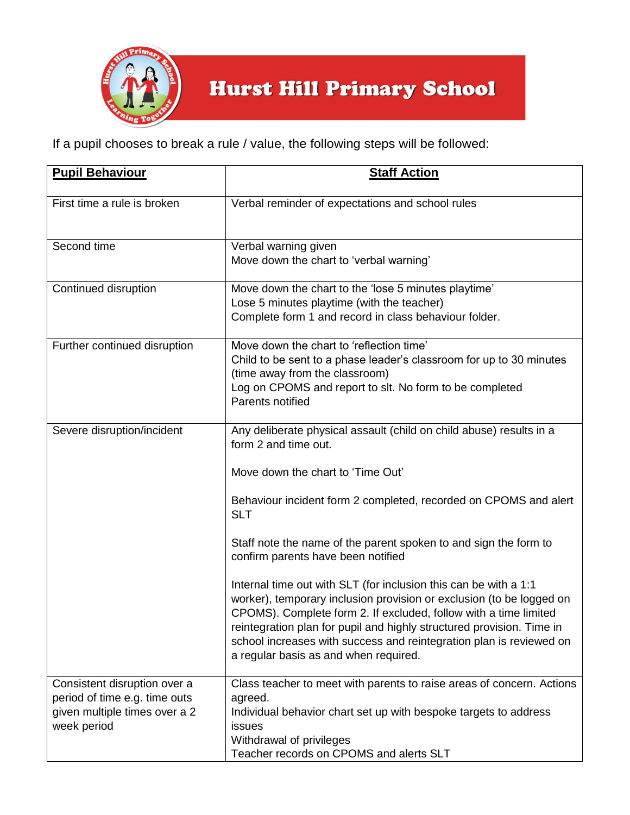

If a pupil chooses to break a rule / value, the following steps will be followed:

| <b>Pupil Behaviour</b>                                                                                        | <b>Staff Action</b>                                                                                                                                                                                                                                                                                                                                                                                                                                                                                                                                                                                                                                                                                                                   |
|---------------------------------------------------------------------------------------------------------------|---------------------------------------------------------------------------------------------------------------------------------------------------------------------------------------------------------------------------------------------------------------------------------------------------------------------------------------------------------------------------------------------------------------------------------------------------------------------------------------------------------------------------------------------------------------------------------------------------------------------------------------------------------------------------------------------------------------------------------------|
| First time a rule is broken                                                                                   | Verbal reminder of expectations and school rules                                                                                                                                                                                                                                                                                                                                                                                                                                                                                                                                                                                                                                                                                      |
| Second time                                                                                                   | Verbal warning given<br>Move down the chart to 'verbal warning'                                                                                                                                                                                                                                                                                                                                                                                                                                                                                                                                                                                                                                                                       |
| Continued disruption                                                                                          | Move down the chart to the 'lose 5 minutes playtime'<br>Lose 5 minutes playtime (with the teacher)<br>Complete form 1 and record in class behaviour folder.                                                                                                                                                                                                                                                                                                                                                                                                                                                                                                                                                                           |
| Further continued disruption                                                                                  | Move down the chart to 'reflection time'<br>Child to be sent to a phase leader's classroom for up to 30 minutes<br>(time away from the classroom)<br>Log on CPOMS and report to slt. No form to be completed<br>Parents notified                                                                                                                                                                                                                                                                                                                                                                                                                                                                                                      |
| Severe disruption/incident                                                                                    | Any deliberate physical assault (child on child abuse) results in a<br>form 2 and time out.<br>Move down the chart to 'Time Out'<br>Behaviour incident form 2 completed, recorded on CPOMS and alert<br><b>SLT</b><br>Staff note the name of the parent spoken to and sign the form to<br>confirm parents have been notified<br>Internal time out with SLT (for inclusion this can be with a 1:1<br>worker), temporary inclusion provision or exclusion (to be logged on<br>CPOMS). Complete form 2. If excluded, follow with a time limited<br>reintegration plan for pupil and highly structured provision. Time in<br>school increases with success and reintegration plan is reviewed on<br>a regular basis as and when required. |
| Consistent disruption over a<br>period of time e.g. time outs<br>given multiple times over a 2<br>week period | Class teacher to meet with parents to raise areas of concern. Actions<br>agreed.<br>Individual behavior chart set up with bespoke targets to address<br>issues<br>Withdrawal of privileges<br>Teacher records on CPOMS and alerts SLT                                                                                                                                                                                                                                                                                                                                                                                                                                                                                                 |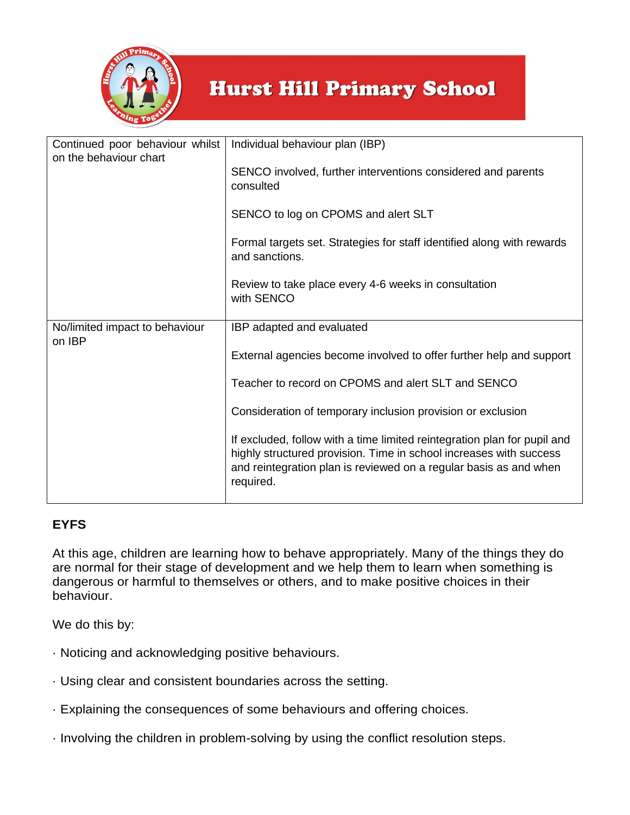

| Continued poor behaviour whilst<br>on the behaviour chart | Individual behaviour plan (IBP)                                                                                                                                                                                                  |  |
|-----------------------------------------------------------|----------------------------------------------------------------------------------------------------------------------------------------------------------------------------------------------------------------------------------|--|
|                                                           | SENCO involved, further interventions considered and parents<br>consulted                                                                                                                                                        |  |
|                                                           | SENCO to log on CPOMS and alert SLT                                                                                                                                                                                              |  |
|                                                           | Formal targets set. Strategies for staff identified along with rewards<br>and sanctions.                                                                                                                                         |  |
|                                                           | Review to take place every 4-6 weeks in consultation<br>with SENCO                                                                                                                                                               |  |
| No/limited impact to behaviour<br>on IBP                  | IBP adapted and evaluated                                                                                                                                                                                                        |  |
|                                                           | External agencies become involved to offer further help and support                                                                                                                                                              |  |
|                                                           | Teacher to record on CPOMS and alert SLT and SENCO                                                                                                                                                                               |  |
|                                                           | Consideration of temporary inclusion provision or exclusion                                                                                                                                                                      |  |
|                                                           | If excluded, follow with a time limited reintegration plan for pupil and<br>highly structured provision. Time in school increases with success<br>and reintegration plan is reviewed on a regular basis as and when<br>required. |  |

### **EYFS**

At this age, children are learning how to behave appropriately. Many of the things they do are normal for their stage of development and we help them to learn when something is dangerous or harmful to themselves or others, and to make positive choices in their behaviour.

We do this by:

- · Noticing and acknowledging positive behaviours.
- · Using clear and consistent boundaries across the setting.
- · Explaining the consequences of some behaviours and offering choices.
- · Involving the children in problem-solving by using the conflict resolution steps.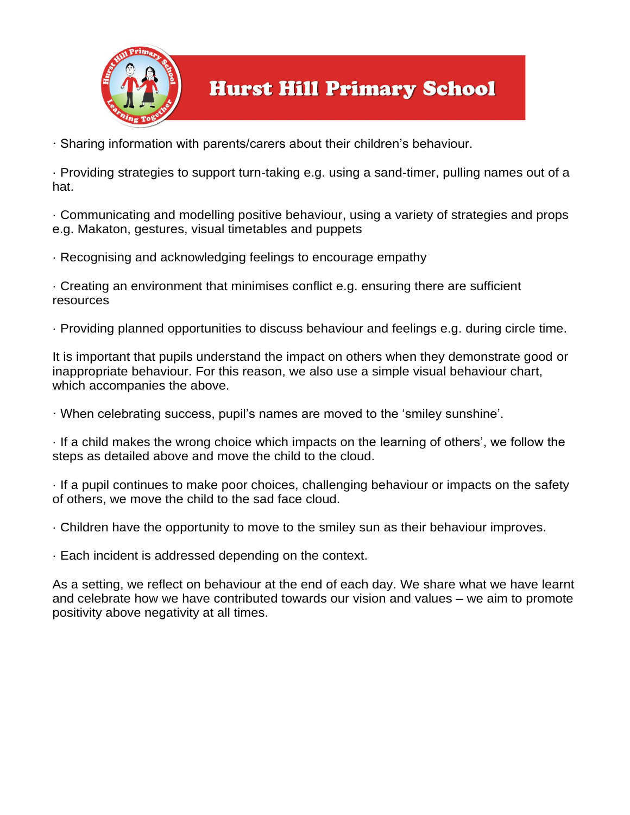

· Sharing information with parents/carers about their children's behaviour.

· Providing strategies to support turn-taking e.g. using a sand-timer, pulling names out of a hat.

· Communicating and modelling positive behaviour, using a variety of strategies and props e.g. Makaton, gestures, visual timetables and puppets

· Recognising and acknowledging feelings to encourage empathy

· Creating an environment that minimises conflict e.g. ensuring there are sufficient resources

· Providing planned opportunities to discuss behaviour and feelings e.g. during circle time.

It is important that pupils understand the impact on others when they demonstrate good or inappropriate behaviour. For this reason, we also use a simple visual behaviour chart, which accompanies the above.

· When celebrating success, pupil's names are moved to the 'smiley sunshine'.

· If a child makes the wrong choice which impacts on the learning of others', we follow the steps as detailed above and move the child to the cloud.

· If a pupil continues to make poor choices, challenging behaviour or impacts on the safety of others, we move the child to the sad face cloud.

· Children have the opportunity to move to the smiley sun as their behaviour improves.

· Each incident is addressed depending on the context.

As a setting, we reflect on behaviour at the end of each day. We share what we have learnt and celebrate how we have contributed towards our vision and values – we aim to promote positivity above negativity at all times.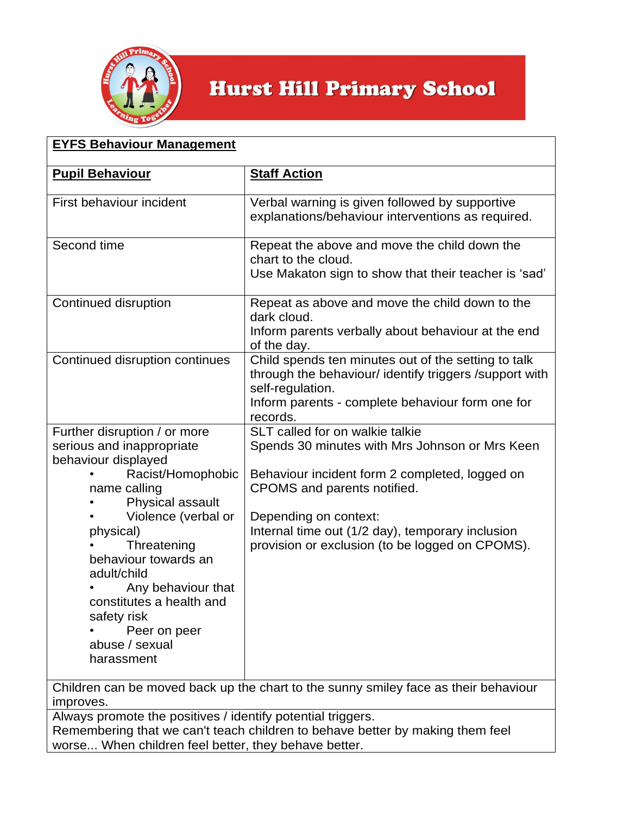

| <b>EYFS Behaviour Management</b>                                                                                                                                                 |                                                                                                                                                                                                  |  |
|----------------------------------------------------------------------------------------------------------------------------------------------------------------------------------|--------------------------------------------------------------------------------------------------------------------------------------------------------------------------------------------------|--|
| <b>Pupil Behaviour</b>                                                                                                                                                           | <b>Staff Action</b>                                                                                                                                                                              |  |
| First behaviour incident                                                                                                                                                         | Verbal warning is given followed by supportive<br>explanations/behaviour interventions as required.                                                                                              |  |
| Second time                                                                                                                                                                      | Repeat the above and move the child down the<br>chart to the cloud.<br>Use Makaton sign to show that their teacher is 'sad'                                                                      |  |
| Continued disruption                                                                                                                                                             | Repeat as above and move the child down to the<br>dark cloud.<br>Inform parents verbally about behaviour at the end<br>of the day.                                                               |  |
| Continued disruption continues                                                                                                                                                   | Child spends ten minutes out of the setting to talk<br>through the behaviour/identify triggers /support with<br>self-regulation.<br>Inform parents - complete behaviour form one for<br>records. |  |
| Further disruption / or more<br>serious and inappropriate                                                                                                                        | SLT called for on walkie talkie<br>Spends 30 minutes with Mrs Johnson or Mrs Keen                                                                                                                |  |
| behaviour displayed<br>Racist/Homophobic<br>name calling<br>Physical assault                                                                                                     | Behaviour incident form 2 completed, logged on<br>CPOMS and parents notified.                                                                                                                    |  |
| Violence (verbal or                                                                                                                                                              | Depending on context:                                                                                                                                                                            |  |
| physical)<br>Threatening<br>behaviour towards an<br>adult/child<br>Any behaviour that<br>constitutes a health and<br>safety risk<br>Peer on peer<br>abuse / sexual<br>harassment | Internal time out (1/2 day), temporary inclusion<br>provision or exclusion (to be logged on CPOMS).                                                                                              |  |
| Children can be moved back up the chart to the sunny smiley face as their behaviour<br>improves.                                                                                 |                                                                                                                                                                                                  |  |
| Always promote the positives / identify potential triggers.                                                                                                                      |                                                                                                                                                                                                  |  |

Remembering that we can't teach children to behave better by making them feel worse... When children feel better, they behave better.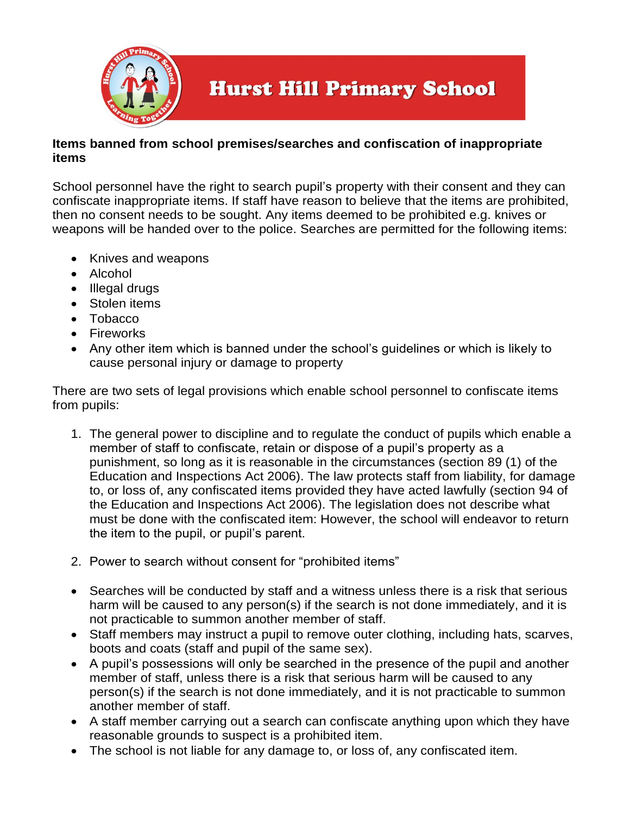

#### **Items banned from school premises/searches and confiscation of inappropriate items**

School personnel have the right to search pupil's property with their consent and they can confiscate inappropriate items. If staff have reason to believe that the items are prohibited, then no consent needs to be sought. Any items deemed to be prohibited e.g. knives or weapons will be handed over to the police. Searches are permitted for the following items:

- Knives and weapons
- Alcohol
- Illegal drugs
- Stolen items
- Tobacco
- Fireworks
- Any other item which is banned under the school's quidelines or which is likely to cause personal injury or damage to property

There are two sets of legal provisions which enable school personnel to confiscate items from pupils:

- 1. The general power to discipline and to regulate the conduct of pupils which enable a member of staff to confiscate, retain or dispose of a pupil's property as a punishment, so long as it is reasonable in the circumstances (section 89 (1) of the Education and Inspections Act 2006). The law protects staff from liability, for damage to, or loss of, any confiscated items provided they have acted lawfully (section 94 of the Education and Inspections Act 2006). The legislation does not describe what must be done with the confiscated item: However, the school will endeavor to return the item to the pupil, or pupil's parent.
- 2. Power to search without consent for "prohibited items"
- Searches will be conducted by staff and a witness unless there is a risk that serious harm will be caused to any person(s) if the search is not done immediately, and it is not practicable to summon another member of staff.
- Staff members may instruct a pupil to remove outer clothing, including hats, scarves, boots and coats (staff and pupil of the same sex).
- A pupil's possessions will only be searched in the presence of the pupil and another member of staff, unless there is a risk that serious harm will be caused to any person(s) if the search is not done immediately, and it is not practicable to summon another member of staff.
- A staff member carrying out a search can confiscate anything upon which they have reasonable grounds to suspect is a prohibited item.
- The school is not liable for any damage to, or loss of, any confiscated item.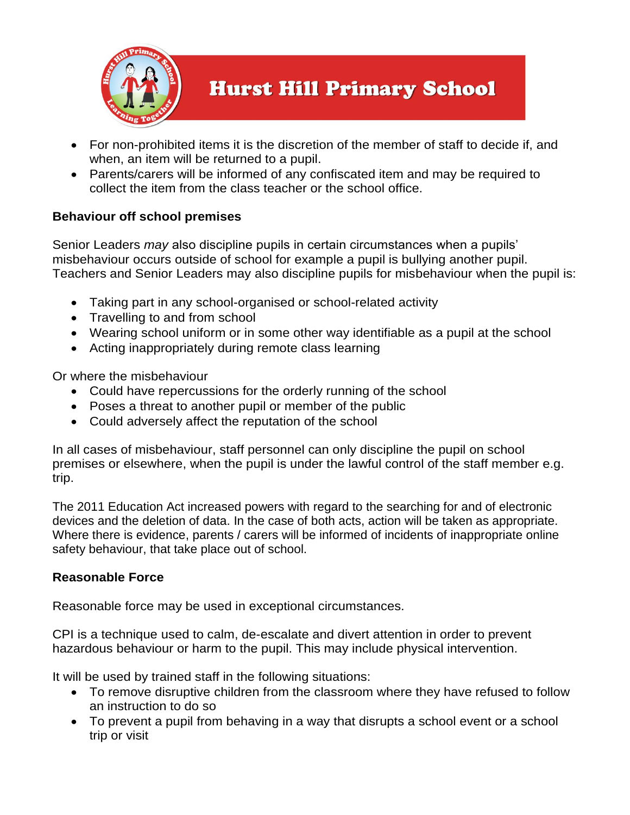

- For non-prohibited items it is the discretion of the member of staff to decide if, and when, an item will be returned to a pupil.
- Parents/carers will be informed of any confiscated item and may be required to collect the item from the class teacher or the school office.

#### **Behaviour off school premises**

Senior Leaders *may* also discipline pupils in certain circumstances when a pupils' misbehaviour occurs outside of school for example a pupil is bullying another pupil. Teachers and Senior Leaders may also discipline pupils for misbehaviour when the pupil is:

- Taking part in any school-organised or school-related activity
- Travelling to and from school
- Wearing school uniform or in some other way identifiable as a pupil at the school
- Acting inappropriately during remote class learning

Or where the misbehaviour

- Could have repercussions for the orderly running of the school
- Poses a threat to another pupil or member of the public
- Could adversely affect the reputation of the school

In all cases of misbehaviour, staff personnel can only discipline the pupil on school premises or elsewhere, when the pupil is under the lawful control of the staff member e.g. trip.

The 2011 Education Act increased powers with regard to the searching for and of electronic devices and the deletion of data. In the case of both acts, action will be taken as appropriate. Where there is evidence, parents / carers will be informed of incidents of inappropriate online safety behaviour, that take place out of school.

#### **Reasonable Force**

Reasonable force may be used in exceptional circumstances.

CPI is a technique used to calm, de-escalate and divert attention in order to prevent hazardous behaviour or harm to the pupil. This may include physical intervention.

It will be used by trained staff in the following situations:

- To remove disruptive children from the classroom where they have refused to follow an instruction to do so
- To prevent a pupil from behaving in a way that disrupts a school event or a school trip or visit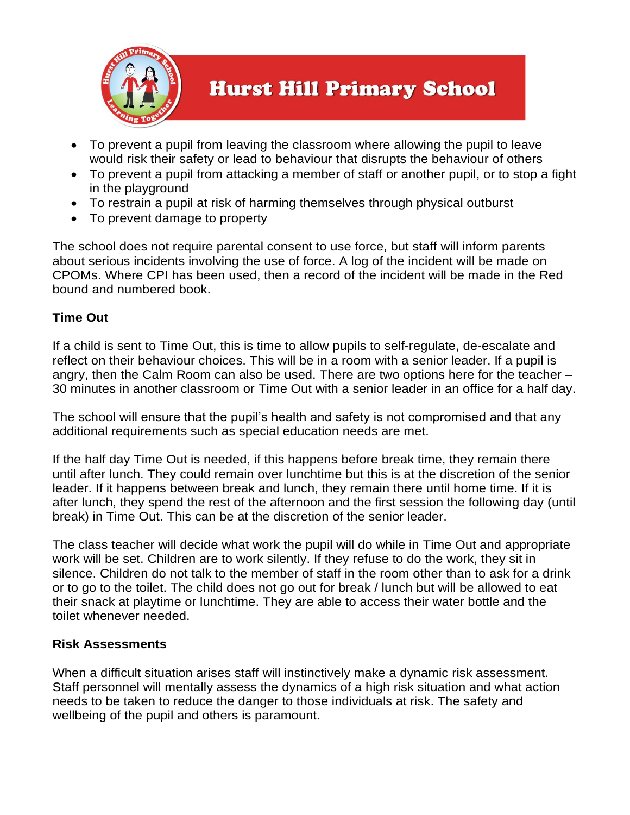

- To prevent a pupil from leaving the classroom where allowing the pupil to leave would risk their safety or lead to behaviour that disrupts the behaviour of others
- To prevent a pupil from attacking a member of staff or another pupil, or to stop a fight in the playground
- To restrain a pupil at risk of harming themselves through physical outburst
- To prevent damage to property

The school does not require parental consent to use force, but staff will inform parents about serious incidents involving the use of force. A log of the incident will be made on CPOMs. Where CPI has been used, then a record of the incident will be made in the Red bound and numbered book.

#### **Time Out**

If a child is sent to Time Out, this is time to allow pupils to self-regulate, de-escalate and reflect on their behaviour choices. This will be in a room with a senior leader. If a pupil is angry, then the Calm Room can also be used. There are two options here for the teacher – 30 minutes in another classroom or Time Out with a senior leader in an office for a half day.

The school will ensure that the pupil's health and safety is not compromised and that any additional requirements such as special education needs are met.

If the half day Time Out is needed, if this happens before break time, they remain there until after lunch. They could remain over lunchtime but this is at the discretion of the senior leader. If it happens between break and lunch, they remain there until home time. If it is after lunch, they spend the rest of the afternoon and the first session the following day (until break) in Time Out. This can be at the discretion of the senior leader.

The class teacher will decide what work the pupil will do while in Time Out and appropriate work will be set. Children are to work silently. If they refuse to do the work, they sit in silence. Children do not talk to the member of staff in the room other than to ask for a drink or to go to the toilet. The child does not go out for break / lunch but will be allowed to eat their snack at playtime or lunchtime. They are able to access their water bottle and the toilet whenever needed.

#### **Risk Assessments**

When a difficult situation arises staff will instinctively make a dynamic risk assessment. Staff personnel will mentally assess the dynamics of a high risk situation and what action needs to be taken to reduce the danger to those individuals at risk. The safety and wellbeing of the pupil and others is paramount.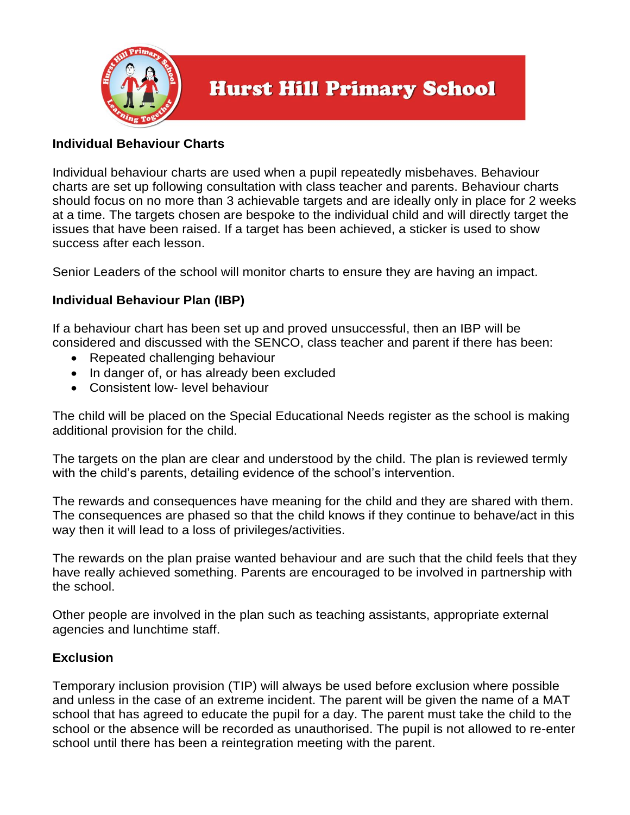

#### **Individual Behaviour Charts**

Individual behaviour charts are used when a pupil repeatedly misbehaves. Behaviour charts are set up following consultation with class teacher and parents. Behaviour charts should focus on no more than 3 achievable targets and are ideally only in place for 2 weeks at a time. The targets chosen are bespoke to the individual child and will directly target the issues that have been raised. If a target has been achieved, a sticker is used to show success after each lesson.

Senior Leaders of the school will monitor charts to ensure they are having an impact.

#### **Individual Behaviour Plan (IBP)**

If a behaviour chart has been set up and proved unsuccessful, then an IBP will be considered and discussed with the SENCO, class teacher and parent if there has been:

- Repeated challenging behaviour
- In danger of, or has already been excluded
- Consistent low- level behaviour

The child will be placed on the Special Educational Needs register as the school is making additional provision for the child.

The targets on the plan are clear and understood by the child. The plan is reviewed termly with the child's parents, detailing evidence of the school's intervention.

The rewards and consequences have meaning for the child and they are shared with them. The consequences are phased so that the child knows if they continue to behave/act in this way then it will lead to a loss of privileges/activities.

The rewards on the plan praise wanted behaviour and are such that the child feels that they have really achieved something. Parents are encouraged to be involved in partnership with the school.

Other people are involved in the plan such as teaching assistants, appropriate external agencies and lunchtime staff.

#### **Exclusion**

Temporary inclusion provision (TIP) will always be used before exclusion where possible and unless in the case of an extreme incident. The parent will be given the name of a MAT school that has agreed to educate the pupil for a day. The parent must take the child to the school or the absence will be recorded as unauthorised. The pupil is not allowed to re-enter school until there has been a reintegration meeting with the parent.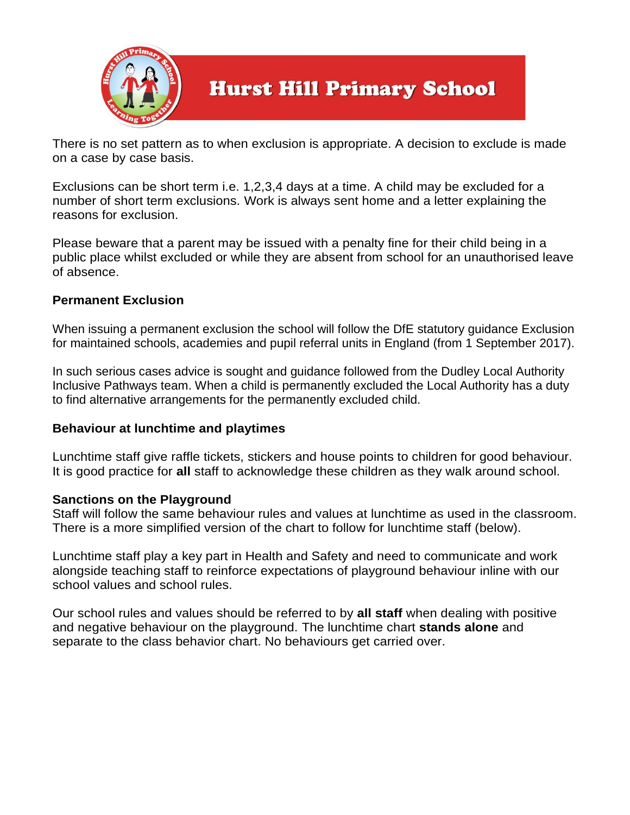

There is no set pattern as to when exclusion is appropriate. A decision to exclude is made on a case by case basis.

Exclusions can be short term i.e. 1,2,3,4 days at a time. A child may be excluded for a number of short term exclusions. Work is always sent home and a letter explaining the reasons for exclusion.

Please beware that a parent may be issued with a penalty fine for their child being in a public place whilst excluded or while they are absent from school for an unauthorised leave of absence.

#### **Permanent Exclusion**

When issuing a permanent exclusion the school will follow the DfE statutory guidance Exclusion for maintained schools, academies and pupil referral units in England (from 1 September 2017).

In such serious cases advice is sought and guidance followed from the Dudley Local Authority Inclusive Pathways team. When a child is permanently excluded the Local Authority has a duty to find alternative arrangements for the permanently excluded child.

#### **Behaviour at lunchtime and playtimes**

Lunchtime staff give raffle tickets, stickers and house points to children for good behaviour. It is good practice for **all** staff to acknowledge these children as they walk around school.

#### **Sanctions on the Playground**

Staff will follow the same behaviour rules and values at lunchtime as used in the classroom. There is a more simplified version of the chart to follow for lunchtime staff (below).

Lunchtime staff play a key part in Health and Safety and need to communicate and work alongside teaching staff to reinforce expectations of playground behaviour inline with our school values and school rules.

Our school rules and values should be referred to by **all staff** when dealing with positive and negative behaviour on the playground. The lunchtime chart **stands alone** and separate to the class behavior chart. No behaviours get carried over.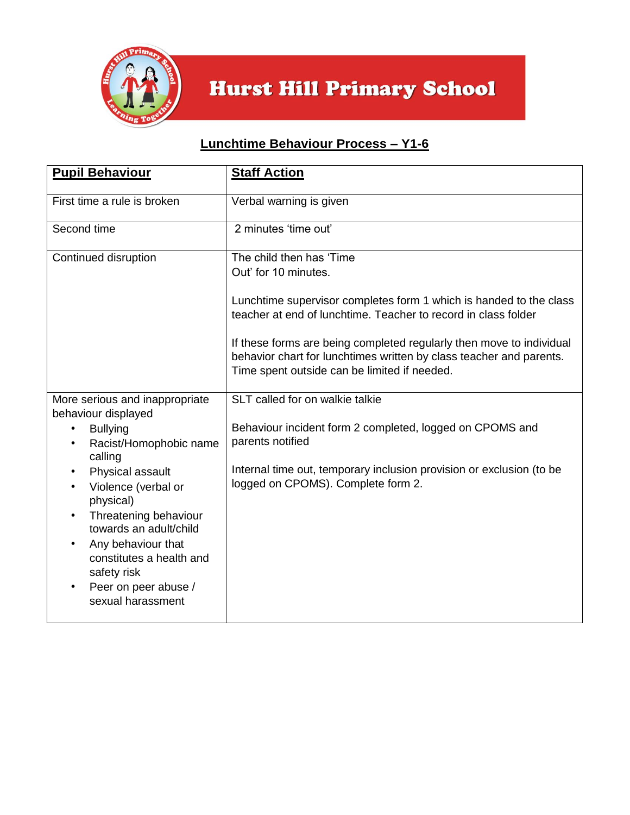

## **Lunchtime Behaviour Process – Y1-6**

| <b>Pupil Behaviour</b>                                                                                                                                                                                                                                                                                                                                           | <b>Staff Action</b>                                                                                                                                                                                                                                                                                                                                                                     |
|------------------------------------------------------------------------------------------------------------------------------------------------------------------------------------------------------------------------------------------------------------------------------------------------------------------------------------------------------------------|-----------------------------------------------------------------------------------------------------------------------------------------------------------------------------------------------------------------------------------------------------------------------------------------------------------------------------------------------------------------------------------------|
| First time a rule is broken                                                                                                                                                                                                                                                                                                                                      | Verbal warning is given                                                                                                                                                                                                                                                                                                                                                                 |
| Second time                                                                                                                                                                                                                                                                                                                                                      | 2 minutes 'time out'                                                                                                                                                                                                                                                                                                                                                                    |
| Continued disruption                                                                                                                                                                                                                                                                                                                                             | The child then has 'Time<br>Out' for 10 minutes.<br>Lunchtime supervisor completes form 1 which is handed to the class<br>teacher at end of lunchtime. Teacher to record in class folder<br>If these forms are being completed regularly then move to individual<br>behavior chart for lunchtimes written by class teacher and parents.<br>Time spent outside can be limited if needed. |
| More serious and inappropriate<br>behaviour displayed<br><b>Bullying</b><br>Racist/Homophobic name<br>calling<br>Physical assault<br>$\bullet$<br>Violence (verbal or<br>physical)<br>Threatening behaviour<br>$\bullet$<br>towards an adult/child<br>Any behaviour that<br>constitutes a health and<br>safety risk<br>Peer on peer abuse /<br>sexual harassment | SLT called for on walkie talkie<br>Behaviour incident form 2 completed, logged on CPOMS and<br>parents notified<br>Internal time out, temporary inclusion provision or exclusion (to be<br>logged on CPOMS). Complete form 2.                                                                                                                                                           |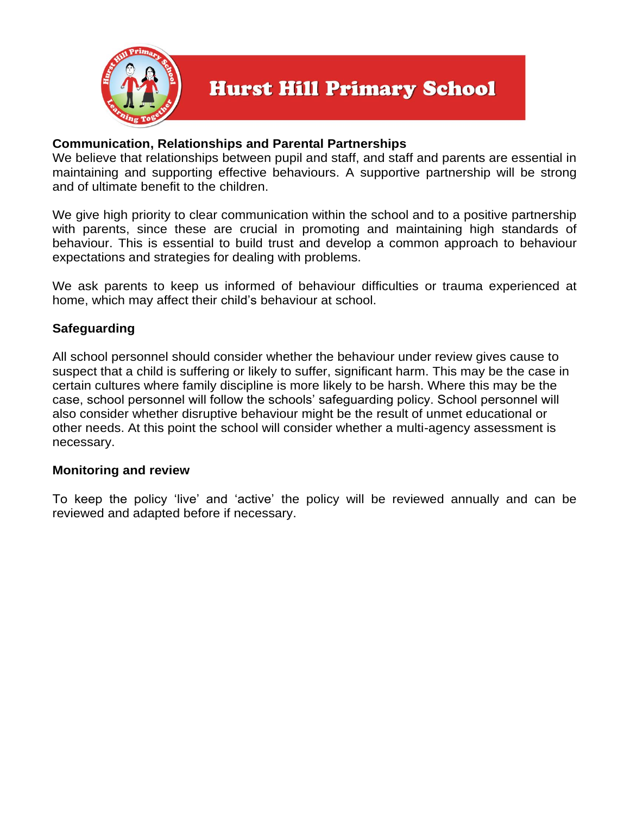

#### **Communication, Relationships and Parental Partnerships**

We believe that relationships between pupil and staff, and staff and parents are essential in maintaining and supporting effective behaviours. A supportive partnership will be strong and of ultimate benefit to the children.

We give high priority to clear communication within the school and to a positive partnership with parents, since these are crucial in promoting and maintaining high standards of behaviour. This is essential to build trust and develop a common approach to behaviour expectations and strategies for dealing with problems.

We ask parents to keep us informed of behaviour difficulties or trauma experienced at home, which may affect their child's behaviour at school.

#### **Safeguarding**

All school personnel should consider whether the behaviour under review gives cause to suspect that a child is suffering or likely to suffer, significant harm. This may be the case in certain cultures where family discipline is more likely to be harsh. Where this may be the case, school personnel will follow the schools' safeguarding policy. School personnel will also consider whether disruptive behaviour might be the result of unmet educational or other needs. At this point the school will consider whether a multi-agency assessment is necessary.

#### **Monitoring and review**

To keep the policy 'live' and 'active' the policy will be reviewed annually and can be reviewed and adapted before if necessary.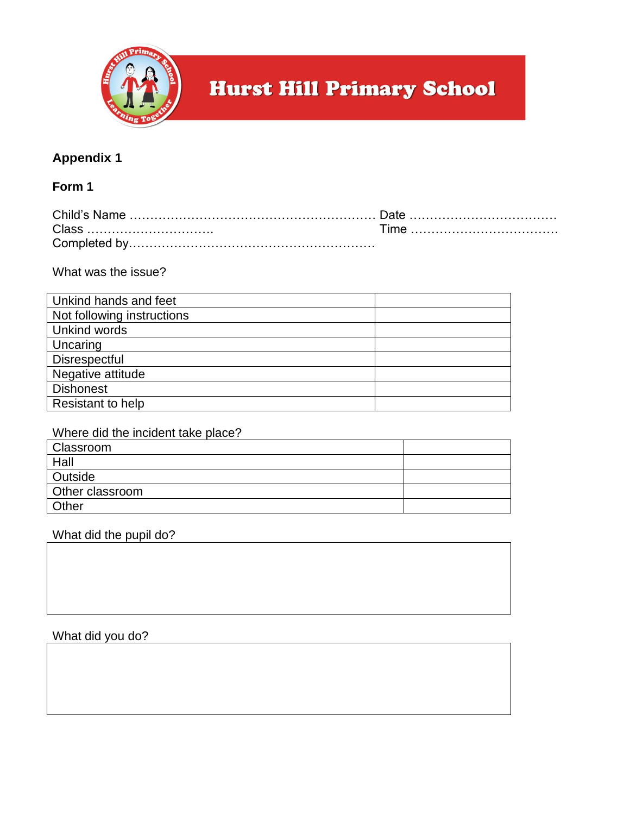

### **Appendix 1**

#### **Form 1**

What was the issue?

| Unkind hands and feet      |  |
|----------------------------|--|
| Not following instructions |  |
| Unkind words               |  |
| Uncaring                   |  |
| Disrespectful              |  |
| Negative attitude          |  |
| <b>Dishonest</b>           |  |
| <b>Resistant to help</b>   |  |

#### Where did the incident take place?

| Classroom       |  |
|-----------------|--|
| Hall            |  |
| <b>Outside</b>  |  |
| Other classroom |  |
| Other           |  |
|                 |  |

What did the pupil do?

#### What did you do?